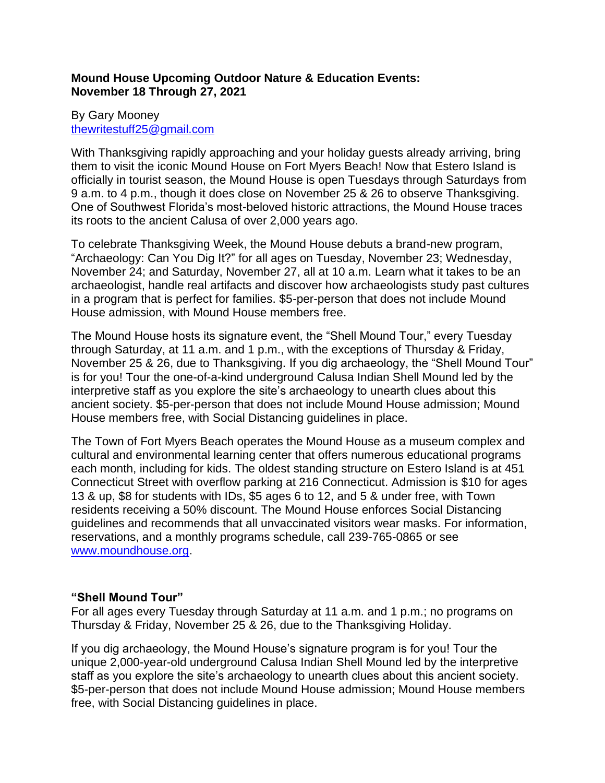# **Mound House Upcoming Outdoor Nature & Education Events: November 18 Through 27, 2021**

# By Gary Mooney [thewritestuff25@gmail.com](mailto:thewritestuff25@gmail.com)

With Thanksgiving rapidly approaching and your holiday guests already arriving, bring them to visit the iconic Mound House on Fort Myers Beach! Now that Estero Island is officially in tourist season, the Mound House is open Tuesdays through Saturdays from 9 a.m. to 4 p.m., though it does close on November 25 & 26 to observe Thanksgiving. One of Southwest Florida's most-beloved historic attractions, the Mound House traces its roots to the ancient Calusa of over 2,000 years ago.

To celebrate Thanksgiving Week, the Mound House debuts a brand-new program, "Archaeology: Can You Dig It?" for all ages on Tuesday, November 23; Wednesday, November 24; and Saturday, November 27, all at 10 a.m. Learn what it takes to be an archaeologist, handle real artifacts and discover how archaeologists study past cultures in a program that is perfect for families. \$5-per-person that does not include Mound House admission, with Mound House members free.

The Mound House hosts its signature event, the "Shell Mound Tour," every Tuesday through Saturday, at 11 a.m. and 1 p.m., with the exceptions of Thursday & Friday, November 25 & 26, due to Thanksgiving. If you dig archaeology, the "Shell Mound Tour" is for you! Tour the one-of-a-kind underground Calusa Indian Shell Mound led by the interpretive staff as you explore the site's archaeology to unearth clues about this ancient society. \$5-per-person that does not include Mound House admission; Mound House members free, with Social Distancing guidelines in place.

The Town of Fort Myers Beach operates the Mound House as a museum complex and cultural and environmental learning center that offers numerous educational programs each month, including for kids. The oldest standing structure on Estero Island is at 451 Connecticut Street with overflow parking at 216 Connecticut. Admission is \$10 for ages 13 & up, \$8 for students with IDs, \$5 ages 6 to 12, and 5 & under free, with Town residents receiving a 50% discount. The Mound House enforces Social Distancing guidelines and recommends that all unvaccinated visitors wear masks. For information, reservations, and a monthly programs schedule, call 239-765-0865 or see [www.moundhouse.org.](http://www.moundhouse.org/)

# **"Shell Mound Tour"**

For all ages every Tuesday through Saturday at 11 a.m. and 1 p.m.; no programs on Thursday & Friday, November 25 & 26, due to the Thanksgiving Holiday.

If you dig archaeology, the Mound House's signature program is for you! Tour the unique 2,000-year-old underground Calusa Indian Shell Mound led by the interpretive staff as you explore the site's archaeology to unearth clues about this ancient society. \$5-per-person that does not include Mound House admission; Mound House members free, with Social Distancing guidelines in place.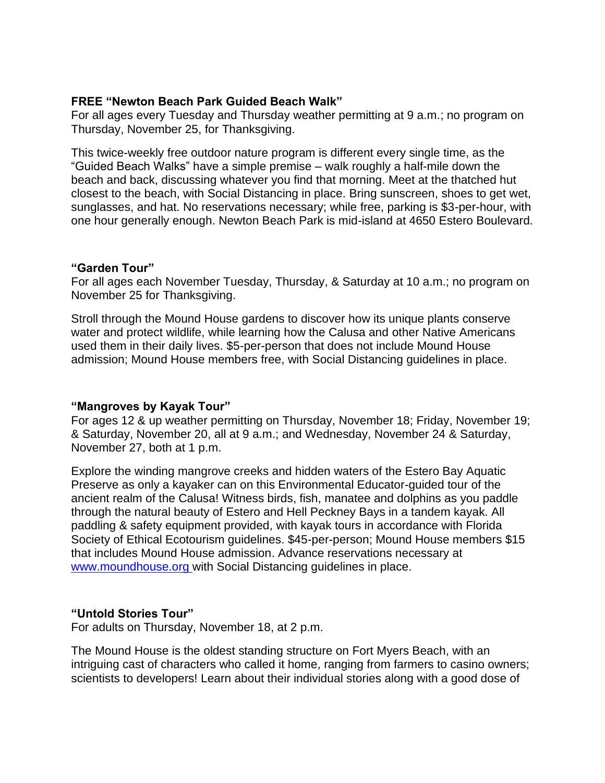# **FREE "Newton Beach Park Guided Beach Walk"**

For all ages every Tuesday and Thursday weather permitting at 9 a.m.; no program on Thursday, November 25, for Thanksgiving.

This twice-weekly free outdoor nature program is different every single time, as the "Guided Beach Walks" have a simple premise – walk roughly a half-mile down the beach and back, discussing whatever you find that morning. Meet at the thatched hut closest to the beach, with Social Distancing in place. Bring sunscreen, shoes to get wet, sunglasses, and hat. No reservations necessary; while free, parking is \$3-per-hour, with one hour generally enough. Newton Beach Park is mid-island at 4650 Estero Boulevard.

#### **"Garden Tour"**

For all ages each November Tuesday, Thursday, & Saturday at 10 a.m.; no program on November 25 for Thanksgiving.

Stroll through the Mound House gardens to discover how its unique plants conserve water and protect wildlife, while learning how the Calusa and other Native Americans used them in their daily lives. \$5-per-person that does not include Mound House admission; Mound House members free, with Social Distancing guidelines in place.

# **"Mangroves by Kayak Tour"**

For ages 12 & up weather permitting on Thursday, November 18; Friday, November 19; & Saturday, November 20, all at 9 a.m.; and Wednesday, November 24 & Saturday, November 27, both at 1 p.m.

Explore the winding mangrove creeks and hidden waters of the Estero Bay Aquatic Preserve as only a kayaker can on this Environmental Educator-guided tour of the ancient realm of the Calusa! Witness birds, fish, manatee and dolphins as you paddle through the natural beauty of Estero and Hell Peckney Bays in a tandem kayak. All paddling & safety equipment provided, with kayak tours in accordance with Florida Society of Ethical Ecotourism guidelines. \$45-per-person; Mound House members \$15 that includes Mound House admission. Advance reservations necessary at [www.moundhouse.org](http://www.moundhouse.org/) with Social Distancing guidelines in place.

# **"Untold Stories Tour"**

For adults on Thursday, November 18, at 2 p.m.

The Mound House is the oldest standing structure on Fort Myers Beach, with an intriguing cast of characters who called it home, ranging from farmers to casino owners; scientists to developers! Learn about their individual stories along with a good dose of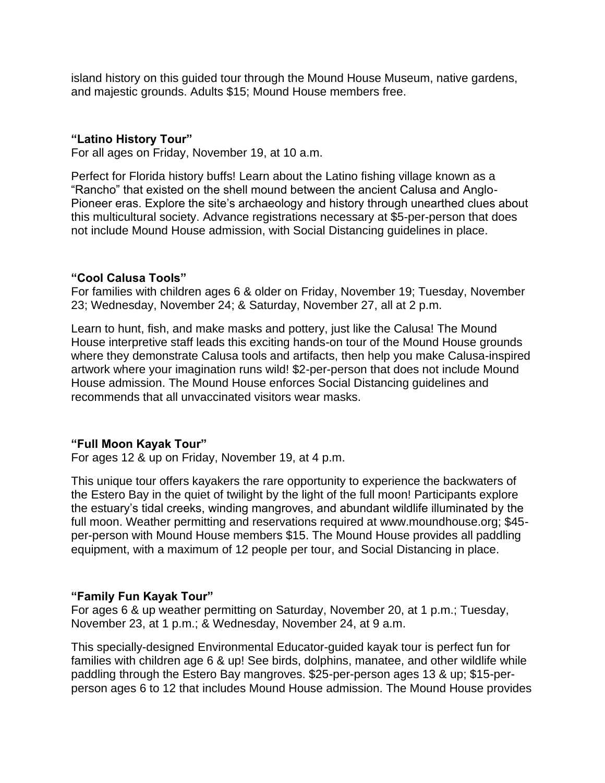island history on this guided tour through the Mound House Museum, native gardens, and majestic grounds. Adults \$15; Mound House members free.

#### **"Latino History Tour"**

For all ages on Friday, November 19, at 10 a.m.

Perfect for Florida history buffs! Learn about the Latino fishing village known as a "Rancho" that existed on the shell mound between the ancient Calusa and Anglo-Pioneer eras. Explore the site's archaeology and history through unearthed clues about this multicultural society. Advance registrations necessary at \$5-per-person that does not include Mound House admission, with Social Distancing guidelines in place.

#### **"Cool Calusa Tools"**

For families with children ages 6 & older on Friday, November 19; Tuesday, November 23; Wednesday, November 24; & Saturday, November 27, all at 2 p.m.

Learn to hunt, fish, and make masks and pottery, just like the Calusa! The Mound House interpretive staff leads this exciting hands-on tour of the Mound House grounds where they demonstrate Calusa tools and artifacts, then help you make Calusa-inspired artwork where your imagination runs wild! \$2-per-person that does not include Mound House admission. The Mound House enforces Social Distancing guidelines and recommends that all unvaccinated visitors wear masks.

#### **"Full Moon Kayak Tour"**

For ages 12 & up on Friday, November 19, at 4 p.m.

This unique tour offers kayakers the rare opportunity to experience the backwaters of the Estero Bay in the quiet of twilight by the light of the full moon! Participants explore the estuary's tidal creeks, winding mangroves, and abundant wildlife illuminated by the full moon. Weather permitting and reservations required at www.moundhouse.org; \$45 per-person with Mound House members \$15. The Mound House provides all paddling equipment, with a maximum of 12 people per tour, and Social Distancing in place.

#### **"Family Fun Kayak Tour"**

For ages 6 & up weather permitting on Saturday, November 20, at 1 p.m.; Tuesday, November 23, at 1 p.m.; & Wednesday, November 24, at 9 a.m.

This specially-designed Environmental Educator-guided kayak tour is perfect fun for families with children age 6 & up! See birds, dolphins, manatee, and other wildlife while paddling through the Estero Bay mangroves. \$25-per-person ages 13 & up; \$15-perperson ages 6 to 12 that includes Mound House admission. The Mound House provides